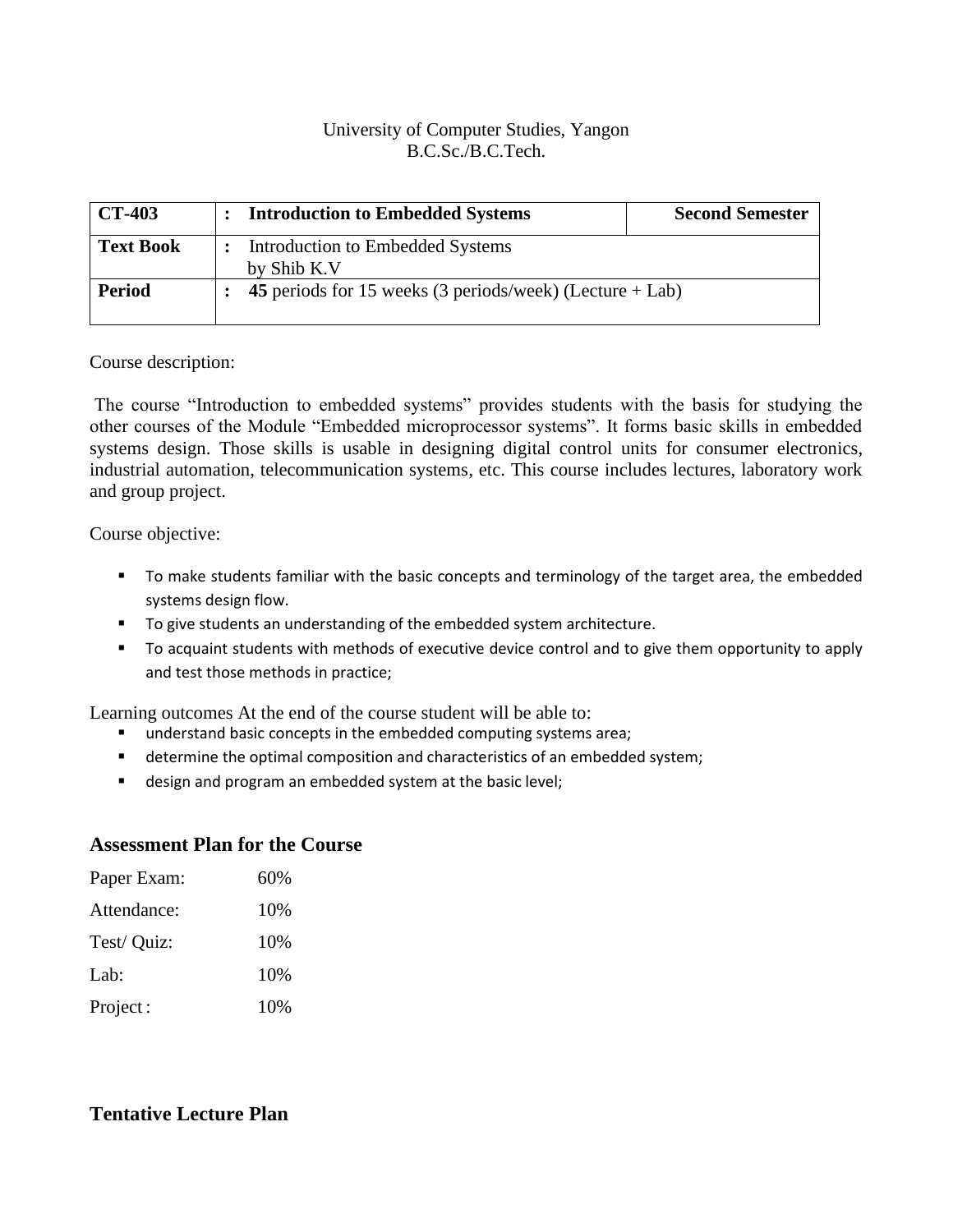## University of Computer Studies, Yangon B.C.Sc./B.C.Tech.

| <b>CT-403</b>    | <b>Introduction to Embedded Systems</b>                    | <b>Second Semester</b> |
|------------------|------------------------------------------------------------|------------------------|
| <b>Text Book</b> | Introduction to Embedded Systems<br>by Shib K.V            |                        |
| <b>Period</b>    | 45 periods for 15 weeks (3 periods/week) (Lecture $+$ Lab) |                        |

## Course description:

The course "Introduction to embedded systems" provides students with the basis for studying the other courses of the Module "Embedded microprocessor systems". It forms basic skills in embedded systems design. Those skills is usable in designing digital control units for consumer electronics, industrial automation, telecommunication systems, etc. This course includes lectures, laboratory work and group project.

Course objective:

- To make students familiar with the basic concepts and terminology of the target area, the embedded systems design flow.
- To give students an understanding of the embedded system architecture.
- To acquaint students with methods of executive device control and to give them opportunity to apply and test those methods in practice;

Learning outcomes At the end of the course student will be able to:

- understand basic concepts in the embedded computing systems area;
- **■** determine the optimal composition and characteristics of an embedded system;
- design and program an embedded system at the basic level;

## **Assessment Plan for the Course**

| Paper Exam: | 60%  |
|-------------|------|
| Attendance: | 10%  |
| Test/ Quiz: | 10%  |
| Lab:        | 10%  |
| Project:    | 10\% |

## **Tentative Lecture Plan**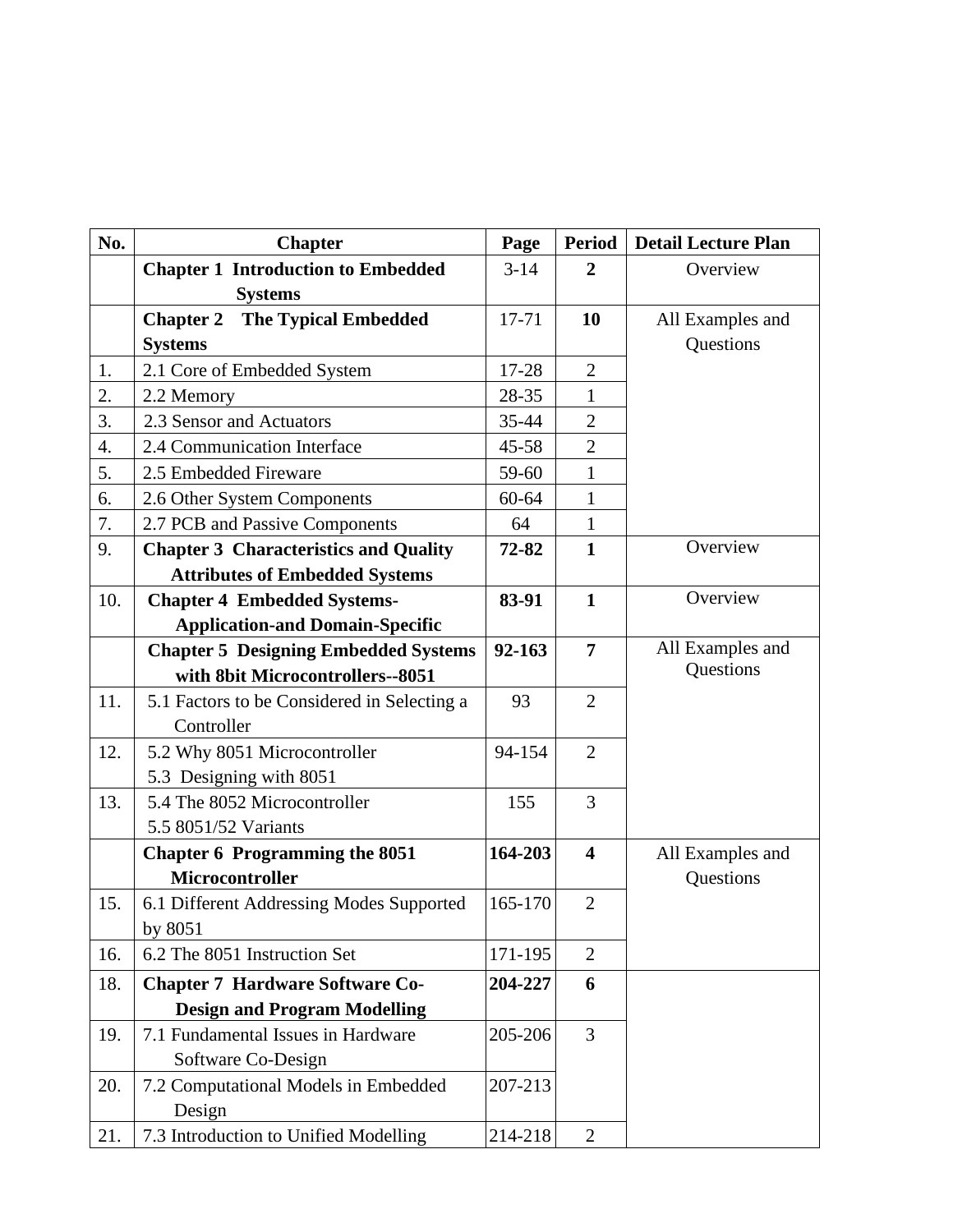| No.              | <b>Chapter</b>                                              | Page      | <b>Period</b>           | <b>Detail Lecture Plan</b> |
|------------------|-------------------------------------------------------------|-----------|-------------------------|----------------------------|
|                  | <b>Chapter 1 Introduction to Embedded</b><br><b>Systems</b> | $3 - 14$  | $\overline{2}$          | Overview                   |
|                  | <b>The Typical Embedded</b><br><b>Chapter 2</b>             | $17 - 71$ | 10                      | All Examples and           |
|                  | <b>Systems</b>                                              |           |                         | Questions                  |
| 1.               | 2.1 Core of Embedded System                                 | 17-28     | $\overline{2}$          |                            |
| 2.               | 2.2 Memory                                                  | 28-35     | $\mathbf{1}$            |                            |
| 3.               | 2.3 Sensor and Actuators                                    | 35-44     | $\overline{2}$          |                            |
| $\overline{4}$ . | 2.4 Communication Interface                                 | $45 - 58$ | $\overline{2}$          |                            |
| 5.               | 2.5 Embedded Fireware                                       | 59-60     | $\mathbf{1}$            |                            |
| 6.               | 2.6 Other System Components                                 | 60-64     | $\mathbf{1}$            |                            |
| 7.               | 2.7 PCB and Passive Components                              | 64        | $\mathbf{1}$            |                            |
| 9.               | <b>Chapter 3 Characteristics and Quality</b>                | 72-82     | $\mathbf{1}$            | Overview                   |
|                  | <b>Attributes of Embedded Systems</b>                       |           |                         |                            |
| 10.              | <b>Chapter 4 Embedded Systems-</b>                          | 83-91     | $\mathbf{1}$            | Overview                   |
|                  | <b>Application-and Domain-Specific</b>                      |           |                         |                            |
|                  | <b>Chapter 5 Designing Embedded Systems</b>                 | 92-163    | 7                       | All Examples and           |
|                  | with 8bit Microcontrollers--8051                            |           |                         | Questions                  |
| 11.              | 5.1 Factors to be Considered in Selecting a                 | 93        | $\overline{2}$          |                            |
|                  | Controller                                                  |           |                         |                            |
| 12.              | 5.2 Why 8051 Microcontroller                                | 94-154    | $\overline{2}$          |                            |
|                  | 5.3 Designing with 8051                                     |           |                         |                            |
| 13.              | 5.4 The 8052 Microcontroller                                | 155       | 3                       |                            |
|                  | 5.5 8051/52 Variants                                        |           |                         |                            |
|                  | <b>Chapter 6 Programming the 8051</b>                       | 164-203   | $\overline{\mathbf{4}}$ | All Examples and           |
|                  | Microcontroller                                             |           |                         | Questions                  |
| 15.              | 6.1 Different Addressing Modes Supported                    | 165-170   | $\overline{2}$          |                            |
|                  | by 8051                                                     |           |                         |                            |
| 16.              | 6.2 The 8051 Instruction Set                                | 171-195   | $\overline{2}$          |                            |
| 18.              | <b>Chapter 7 Hardware Software Co-</b>                      | 204-227   | 6                       |                            |
|                  | <b>Design and Program Modelling</b>                         |           |                         |                            |
| 19.              | 7.1 Fundamental Issues in Hardware                          | 205-206   | 3                       |                            |
|                  | Software Co-Design                                          |           |                         |                            |
| 20.              | 7.2 Computational Models in Embedded                        | 207-213   |                         |                            |
|                  | Design                                                      |           |                         |                            |
| 21.              | 7.3 Introduction to Unified Modelling                       | 214-218   | $\overline{2}$          |                            |